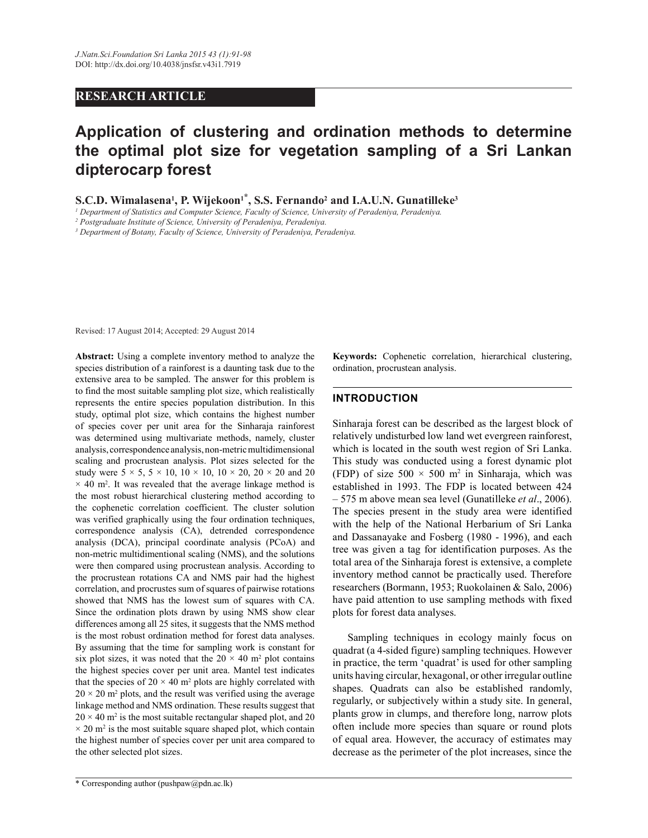# **RESEARCH ARTICLE**

# **Application of clustering and ordination methods to determine the optimal plot size for vegetation sampling of a Sri Lankan dipterocarp forest**

**S.C.D. Wimalasena<sup>1</sup>, P. Wijekoon<sup>1\*</sup>, S.S. Fernando<sup>2</sup> and I.A.U.N. Gunatilleke<sup>3</sup><br><sup>1</sup> Department of Statistics and Computer Science, Faculty of Science, University of Peradeniya, Peradeniya.** 

*2 Postgraduate Institute of Science, University of Peradeniya, Peradeniya.*

*3 Department of Botany, Faculty of Science, University of Peradeniya, Peradeniya.*

Revised: 17 August 2014; Accepted: 29 August 2014

**Abstract:** Using a complete inventory method to analyze the species distribution of a rainforest is a daunting task due to the extensive area to be sampled. The answer for this problem is to find the most suitable sampling plot size, which realistically represents the entire species population distribution. In this study, optimal plot size, which contains the highest number of species cover per unit area for the Sinharaja rainforest was determined using multivariate methods, namely, cluster analysis, correspondence analysis, non-metric multidimensional scaling and procrustean analysis. Plot sizes selected for the study were  $5 \times 5$ ,  $5 \times 10$ ,  $10 \times 10$ ,  $10 \times 20$ ,  $20 \times 20$  and  $20$  $\times$  40 m<sup>2</sup>. It was revealed that the average linkage method is the most robust hierarchical clustering method according to the cophenetic correlation coefficient. The cluster solution was verified graphically using the four ordination techniques, correspondence analysis (CA), detrended correspondence analysis (DCA), principal coordinate analysis (PCoA) and non-metric multidimentional scaling (NMS), and the solutions were then compared using procrustean analysis. According to the procrustean rotations CA and NMS pair had the highest correlation, and procrustes sum of squares of pairwise rotations showed that NMS has the lowest sum of squares with CA. Since the ordination plots drawn by using NMS show clear differences among all 25 sites, it suggests that the NMS method is the most robust ordination method for forest data analyses. By assuming that the time for sampling work is constant for six plot sizes, it was noted that the  $20 \times 40$  m<sup>2</sup> plot contains the highest species cover per unit area. Mantel test indicates that the species of  $20 \times 40$  m<sup>2</sup> plots are highly correlated with  $20 \times 20$  m<sup>2</sup> plots, and the result was verified using the average linkage method and NMS ordination. These results suggest that  $20 \times 40$  m<sup>2</sup> is the most suitable rectangular shaped plot, and 20  $\times$  20 m<sup>2</sup> is the most suitable square shaped plot, which contain the highest number of species cover per unit area compared to the other selected plot sizes.

**Keywords:** Cophenetic correlation, hierarchical clustering, ordination, procrustean analysis.

### **INTRODUCTION**

Sinharaja forest can be described as the largest block of relatively undisturbed low land wet evergreen rainforest, which is located in the south west region of Sri Lanka. This study was conducted using a forest dynamic plot (FDP) of size  $500 \times 500$  m<sup>2</sup> in Sinharaja, which was established in 1993. The FDP is located between 424 – 575 m above mean sea level (Gunatilleke *et al*., 2006). The species present in the study area were identified with the help of the National Herbarium of Sri Lanka and Dassanayake and Fosberg (1980 - 1996), and each tree was given a tag for identification purposes. As the total area of the Sinharaja forest is extensive, a complete inventory method cannot be practically used. Therefore researchers (Bormann, 1953; Ruokolainen & Salo, 2006) have paid attention to use sampling methods with fixed plots for forest data analyses.

 Sampling techniques in ecology mainly focus on quadrat (a 4-sided figure) sampling techniques. However in practice, the term 'quadrat' is used for other sampling units having circular, hexagonal, or other irregular outline shapes. Quadrats can also be established randomly, regularly, or subjectively within a study site. In general, plants grow in clumps, and therefore long, narrow plots often include more species than square or round plots of equal area. However, the accuracy of estimates may decrease as the perimeter of the plot increases, since the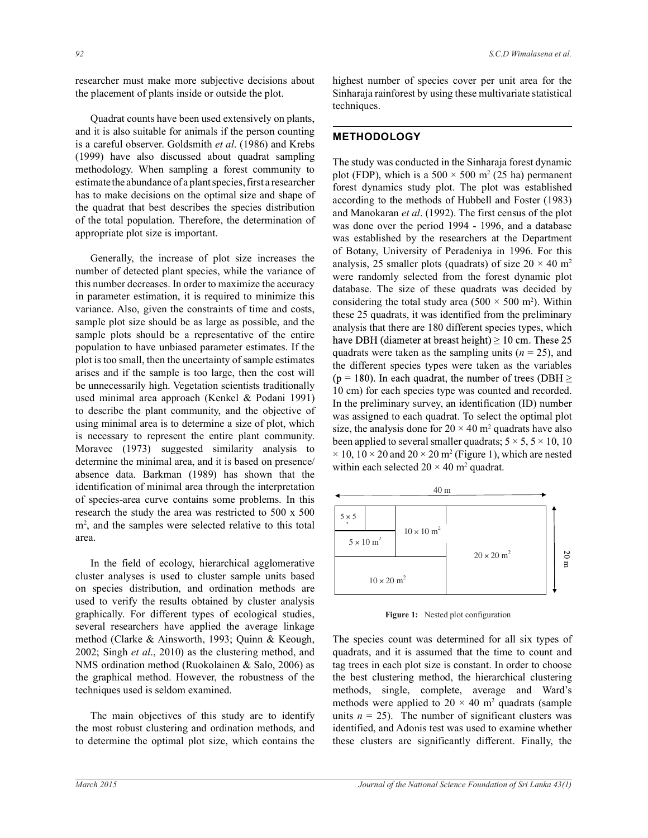researcher must make more subjective decisions about the placement of plants inside or outside the plot.

 Quadrat counts have been used extensively on plants, and it is also suitable for animals if the person counting is a careful observer. Goldsmith *et al*. (1986) and Krebs (1999) have also discussed about quadrat sampling methodology. When sampling a forest community to estimate the abundance of a plant species, first a researcher has to make decisions on the optimal size and shape of the quadrat that best describes the species distribution of the total population. Therefore, the determination of appropriate plot size is important.

 Generally, the increase of plot size increases the number of detected plant species, while the variance of this number decreases. In order to maximize the accuracy in parameter estimation, it is required to minimize this variance. Also, given the constraints of time and costs, sample plot size should be as large as possible, and the sample plots should be a representative of the entire population to have unbiased parameter estimates. If the plot is too small, then the uncertainty of sample estimates arises and if the sample is too large, then the cost will be unnecessarily high. Vegetation scientists traditionally used minimal area approach (Kenkel & Podani 1991) to describe the plant community, and the objective of using minimal area is to determine a size of plot, which is necessary to represent the entire plant community. Moravec (1973) suggested similarity analysis to determine the minimal area, and it is based on presence/ absence data. Barkman (1989) has shown that the identification of minimal area through the interpretation of species-area curve contains some problems. In this research the study the area was restricted to 500 x 500 m<sup>2</sup>, and the samples were selected relative to this total area.

 In the field of ecology, hierarchical agglomerative cluster analyses is used to cluster sample units based on species distribution, and ordination methods are used to verify the results obtained by cluster analysis graphically. For different types of ecological studies, several researchers have applied the average linkage method (Clarke & Ainsworth, 1993; Quinn & Keough, 2002; Singh *et al*., 2010) as the clustering method, and NMS ordination method (Ruokolainen & Salo, 2006) as the graphical method. However, the robustness of the techniques used is seldom examined.

 The main objectives of this study are to identify the most robust clustering and ordination methods, and to determine the optimal plot size, which contains the highest number of species cover per unit area for the Sinharaja rainforest by using these multivariate statistical techniques.

#### **METHODOLOGY**

The study was conducted in the Sinharaja forest dynamic plot (FDP), which is a  $500 \times 500$  m<sup>2</sup> (25 ha) permanent forest dynamics study plot. The plot was established according to the methods of Hubbell and Foster (1983) and Manokaran *et al*. (1992). The first census of the plot was done over the period 1994 - 1996, and a database was established by the researchers at the Department of Botany, University of Peradeniya in 1996. For this analysis, 25 smaller plots (quadrats) of size  $20 \times 40$  m<sup>2</sup> were randomly selected from the forest dynamic plot database. The size of these quadrats was decided by considering the total study area  $(500 \times 500 \text{ m}^2)$ . Within these 25 quadrats, it was identified from the preliminary analysis that there are 180 different species types, which have DBH (diameter at breast height)  $\geq 10$  cm. These 25 quadrats were taken as the sampling units  $(n = 25)$ , and the different species types were taken as the variables ( $p = 180$ ). In each quadrat, the number of trees (DBH  $\ge$ 10 cm) for each species type was counted and recorded. In the preliminary survey, an identification (ID) number was assigned to each quadrat. To select the optimal plot size, the analysis done for  $20 \times 40$  m<sup>2</sup> quadrats have also been applied to several smaller quadrats;  $5 \times 5$ ,  $5 \times 10$ , 10  $\times$  10, 10  $\times$  20 and 20  $\times$  20 m<sup>2</sup> (Figure 1), which are nested within each selected  $20 \times 40$  m<sup>2</sup> quadrat.



**Figure 1:** Nested plot configuration

The species count was determined for all six types of quadrats, and it is assumed that the time to count and tag trees in each plot size is constant. In order to choose the best clustering method, the hierarchical clustering methods, single, complete, average and Ward's methods were applied to  $20 \times 40$  m<sup>2</sup> quadrats (sample units  $n = 25$ ). The number of significant clusters was identified, and Adonis test was used to examine whether these clusters are significantly different. Finally, the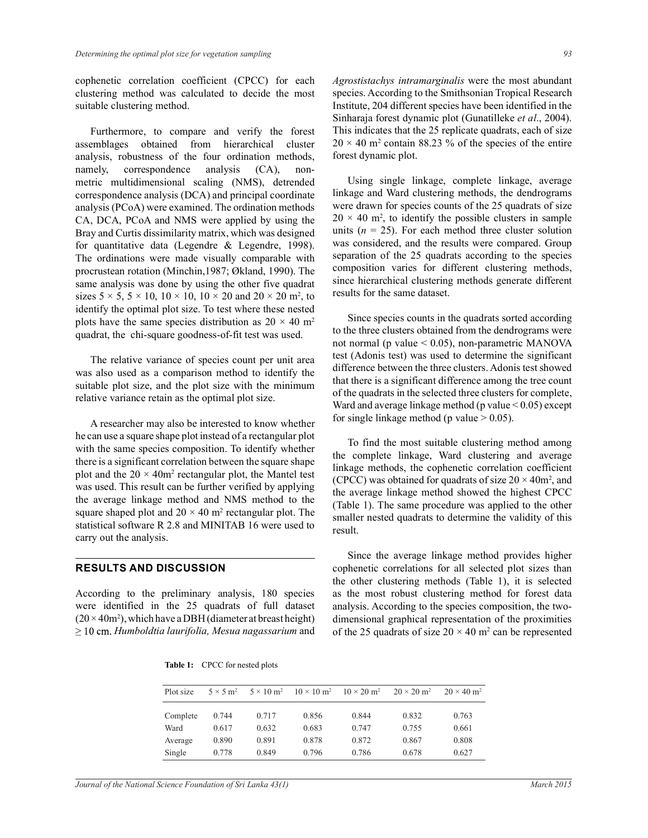cophenetic correlation coefficient (CPCC) for each clustering method was calculated to decide the most suitable clustering method.

 Furthermore, to compare and verify the forest assemblages obtained from hierarchical cluster analysis, robustness of the four ordination methods, namely, correspondence analysis (CA), nonmetric multidimensional scaling (NMS), detrended correspondence analysis (DCA) and principal coordinate analysis (PCoA) were examined. The ordination methods CA, DCA, PCoA and NMS were applied by using the Bray and Curtis dissimilarity matrix, which was designed for quantitative data (Legendre & Legendre, 1998). The ordinations were made visually comparable with procrustean rotation (Minchin,1987; Økland, 1990). The same analysis was done by using the other five quadrat sizes  $5 \times 5$ ,  $5 \times 10$ ,  $10 \times 10$ ,  $10 \times 20$  and  $20 \times 20$  m<sup>2</sup>, to identify the optimal plot size. To test where these nested plots have the same species distribution as  $20 \times 40$  m<sup>2</sup> quadrat, the chi-square goodness-of-fit test was used.

 The relative variance of species count per unit area was also used as a comparison method to identify the suitable plot size, and the plot size with the minimum relative variance retain as the optimal plot size.

 A researcher may also be interested to know whether he can use a square shape plot instead of a rectangular plot with the same species composition. To identify whether there is a significant correlation between the square shape plot and the  $20 \times 40m^2$  rectangular plot, the Mantel test was used. This result can be further verified by applying the average linkage method and NMS method to the square shaped plot and  $20 \times 40$  m<sup>2</sup> rectangular plot. The statistical software R 2.8 and MINITAB 16 were used to carry out the analysis.

#### **RESULTS AND DISCUSSION**

According to the preliminary analysis, 180 species were identified in the 25 quadrats of full dataset  $(20 \times 40m^2)$ , which have a DBH (diameter at breast height)  $\geq$  10 cm. *Humboldtia laurifolia, Mesua nagassarium* and

*Agrostistachys intramarginalis* were the most abundant species. According to the Smithsonian Tropical Research Institute, 204 different species have been identified in the Sinharaja forest dynamic plot (Gunatilleke *et al*., 2004). This indicates that the 25 replicate quadrats, each of size  $20 \times 40$  m<sup>2</sup> contain 88.23 % of the species of the entire forest dynamic plot.

 Using single linkage, complete linkage, average linkage and Ward clustering methods, the dendrograms were drawn for species counts of the 25 quadrats of size  $20 \times 40$  m<sup>2</sup>, to identify the possible clusters in sample units  $(n = 25)$ . For each method three cluster solution was considered, and the results were compared. Group separation of the 25 quadrats according to the species composition varies for different clustering methods, since hierarchical clustering methods generate different results for the same dataset.

 Since species counts in the quadrats sorted according to the three clusters obtained from the dendrograms were not normal (p value < 0.05), non-parametric MANOVA test (Adonis test) was used to determine the significant difference between the three clusters. Adonis test showed that there is a significant difference among the tree count of the quadrats in the selected three clusters for complete, Ward and average linkage method (p value  $< 0.05$ ) except for single linkage method (p value  $> 0.05$ ).

 To find the most suitable clustering method among the complete linkage, Ward clustering and average linkage methods, the cophenetic correlation coefficient (CPCC) was obtained for quadrats of size  $20 \times 40$ m<sup>2</sup>, and the average linkage method showed the highest CPCC (Table 1). The same procedure was applied to the other smaller nested quadrats to determine the validity of this result.

 Since the average linkage method provides higher cophenetic correlations for all selected plot sizes than the other clustering methods (Table 1), it is selected as the most robust clustering method for forest data analysis. According to the species composition, the twodimensional graphical representation of the proximities of the 25 quadrats of size  $20 \times 40$  m<sup>2</sup> can be represented

|  | <b>Table 1:</b> CPCC for nested plots |  |
|--|---------------------------------------|--|
|--|---------------------------------------|--|

| Plot size | $5 \times 5$ m <sup>2</sup> | $5 \times 10$ m <sup>2</sup> | $10 \times 10 \text{ m}^2$ | $10 \times 20$ m <sup>2</sup> | $20 \times 20$ m <sup>2</sup> | $20 \times 40$ m <sup>2</sup> |
|-----------|-----------------------------|------------------------------|----------------------------|-------------------------------|-------------------------------|-------------------------------|
| Complete  | 0.744                       | 0.717                        | 0.856                      | 0.844                         | 0.832                         | 0.763                         |
| Ward      | 0.617                       | 0.632                        | 0.683                      | 0.747                         | 0.755                         | 0.661                         |
| Average   | 0.890                       | 0.891                        | 0.878                      | 0.872                         | 0.867                         | 0.808                         |
| Single    | 0.778                       | 0.849                        | 0.796                      | 0.786                         | 0.678                         | 0.627                         |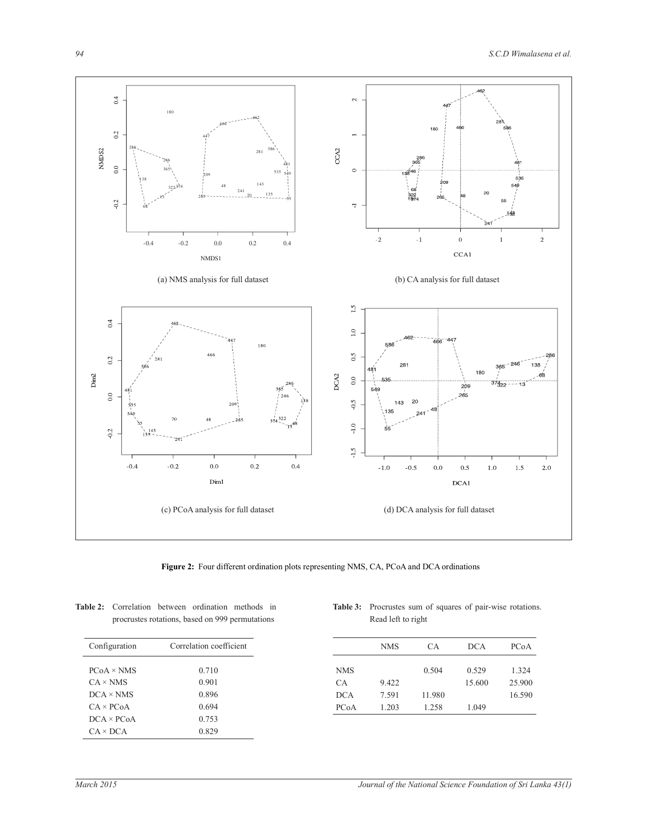

**Figure 2:** Four different ordination plots representing NMS, CA, PCoA and DCA ordinations

| <b>Table 2:</b> Correlation between ordination methods in |  |  |
|-----------------------------------------------------------|--|--|
| procrustes rotations, based on 999 permutations           |  |  |

| Configuration     | Correlation coefficient |
|-------------------|-------------------------|
| $PCoA \times NMS$ | 0.710                   |
| $CA \times NMS$   | 0.901                   |
| $DCA \times NMS$  | 0.896                   |
| $CA \times PC_0A$ | 0.694                   |
| $DCA \times PCoA$ | 0.753                   |
| $CA \times DCA$   | 0.829                   |
|                   |                         |

**Table 3:** Procrustes sum of squares of pair-wise rotations. Read left to right

|            | <b>NMS</b> | СA     | <b>DCA</b> | PCoA   |
|------------|------------|--------|------------|--------|
|            |            |        |            |        |
| <b>NMS</b> |            | 0.504  | 0.529      | 1.324  |
| CA.        | 9.422      |        | 15.600     | 25.900 |
| <b>DCA</b> | 7.591      | 11.980 |            | 16.590 |
| PCoA       | 1.203      | 1.258  | 1.049      |        |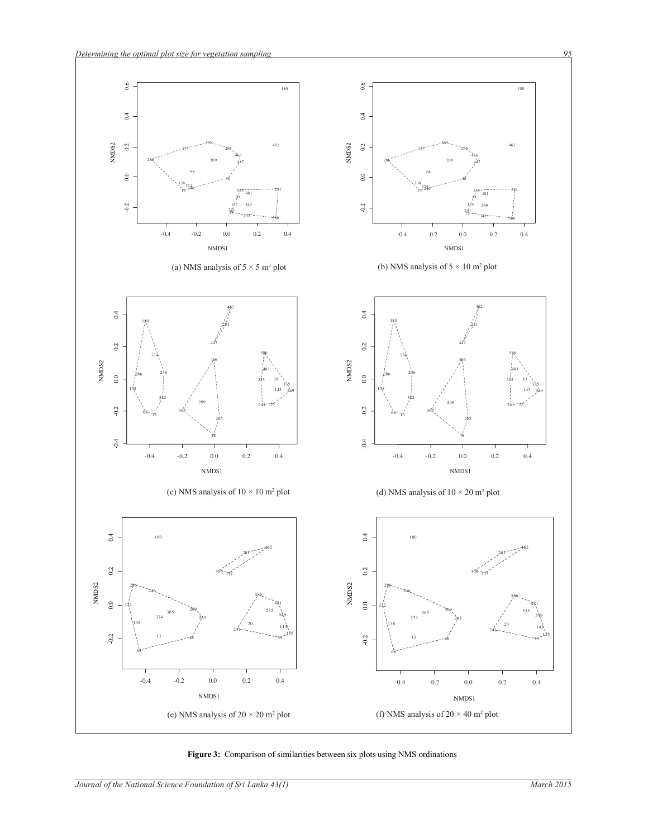

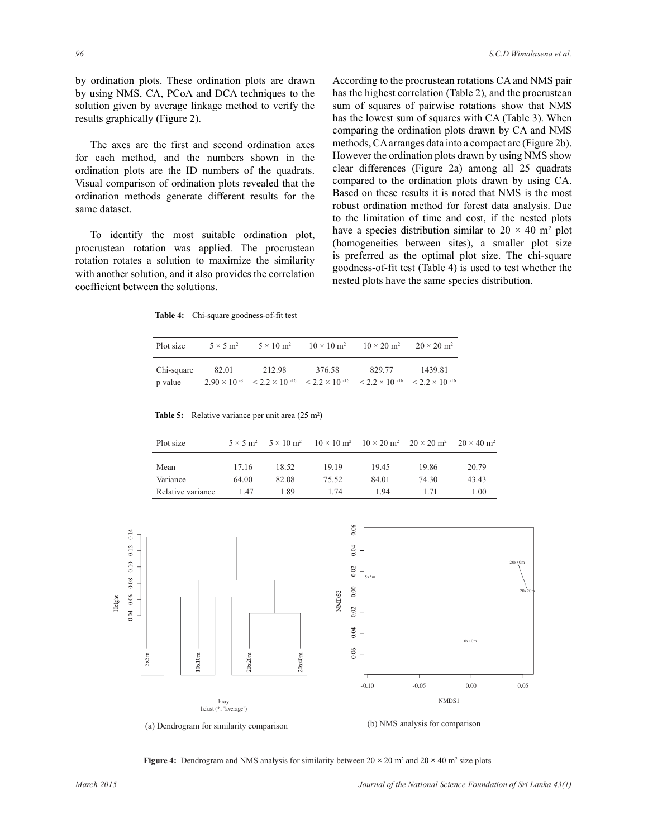by ordination plots. These ordination plots are drawn by using NMS, CA, PCoA and DCA techniques to the solution given by average linkage method to verify the results graphically (Figure 2).

 The axes are the first and second ordination axes for each method, and the numbers shown in the ordination plots are the ID numbers of the quadrats. Visual comparison of ordination plots revealed that the ordination methods generate different results for the same dataset.

 To identify the most suitable ordination plot, procrustean rotation was applied. The procrustean rotation rotates a solution to maximize the similarity with another solution, and it also provides the correlation coefficient between the solutions.

According to the procrustean rotations CA and NMS pair has the highest correlation (Table 2), and the procrustean sum of squares of pairwise rotations show that NMS has the lowest sum of squares with CA (Table 3). When comparing the ordination plots drawn by CA and NMS methods, CA arranges data into a compact arc (Figure 2b). However the ordination plots drawn by using NMS show clear differences (Figure 2a) among all 25 quadrats compared to the ordination plots drawn by using CA. Based on these results it is noted that NMS is the most robust ordination method for forest data analysis. Due to the limitation of time and cost, if the nested plots have a species distribution similar to  $20 \times 40$  m<sup>2</sup> plot (homogeneities between sites), a smaller plot size is preferred as the optimal plot size. The chi-square goodness-of-fit test (Table 4) is used to test whether the nested plots have the same species distribution.

**Table 4:** Chi-square goodness-of-fit test

| Plot size             | $5 \times 5$ m <sup>2</sup> | $5 \times 10$ m <sup>2</sup> | $10 \times 10 \text{ m}^2$                                                                                                                  | $10 \times 20$ m <sup>2</sup> | $20 \times 20$ m <sup>2</sup> |
|-----------------------|-----------------------------|------------------------------|---------------------------------------------------------------------------------------------------------------------------------------------|-------------------------------|-------------------------------|
| Chi-square<br>p value | 82.01                       | 212.98                       | 376.58<br>$2.90 \times 10^{-8}$ $\leq 2.2 \times 10^{-16}$ $\leq 2.2 \times 10^{-16}$ $\leq 2.2 \times 10^{-16}$ $\leq 2.2 \times 10^{-16}$ | 829.77                        | 1439.81                       |

**Table 5:** Relative variance per unit area (25 m<sup>2</sup>)

| Plot size         | $5 \times 5$ m <sup>2</sup> |       | $5 \times 10 \text{ m}^2$ $10 \times 10 \text{ m}^2$ $10 \times 20 \text{ m}^2$ $20 \times 20 \text{ m}^2$ |       |       | $20 \times 40$ m <sup>2</sup> |
|-------------------|-----------------------------|-------|------------------------------------------------------------------------------------------------------------|-------|-------|-------------------------------|
| Mean              | 17.16                       | 18.52 | 19.19                                                                                                      | 19.45 | 19.86 | 20.79                         |
| Variance          | 64.00                       | 82.08 | 75.52                                                                                                      | 84.01 | 74 30 | 43.43                         |
| Relative variance | 147                         | 189   | 1 74                                                                                                       | 194   | 1 71  | 1.00                          |



**Figure 4:** Dendrogram and NMS analysis for similarity between  $20 \times 20$  m<sup>2</sup> and  $20 \times 40$  m<sup>2</sup> size plots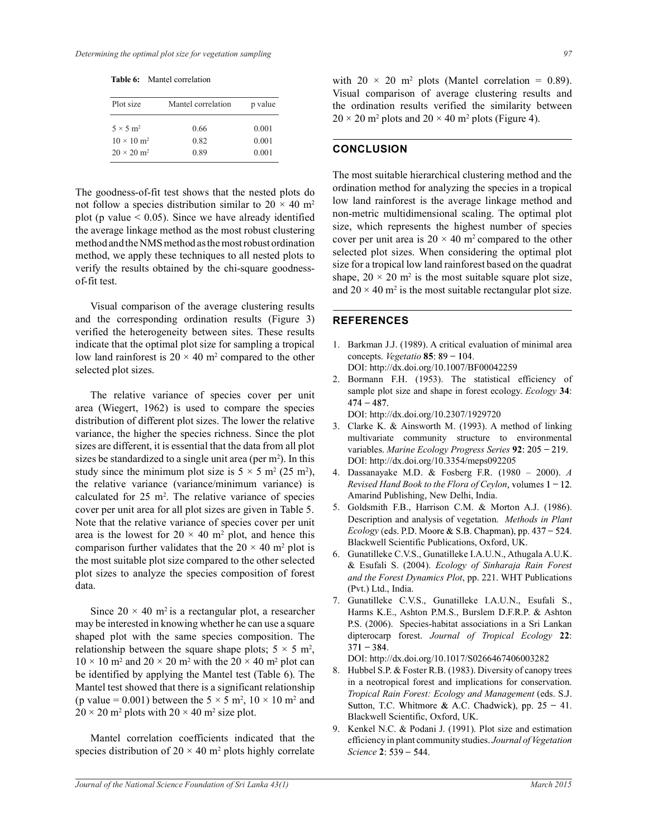**Table 6:** Mantel correlation

| Plot size                     | Mantel correlation | p value |
|-------------------------------|--------------------|---------|
| $5 \times 5$ m <sup>2</sup>   | 0.66               | 0.001   |
| $10 \times 10 \text{ m}^2$    | 0.82               | 0.001   |
| $20 \times 20$ m <sup>2</sup> | 0.89               | 0.001   |

The goodness-of-fit test shows that the nested plots do not follow a species distribution similar to  $20 \times 40$  m<sup>2</sup> plot (p value  $\leq$  0.05). Since we have already identified the average linkage method as the most robust clustering method and the NMS method as the most robust ordination method, we apply these techniques to all nested plots to verify the results obtained by the chi-square goodnessof-fit test.

 Visual comparison of the average clustering results and the corresponding ordination results (Figure 3) verified the heterogeneity between sites. These results indicate that the optimal plot size for sampling a tropical low land rainforest is  $20 \times 40$  m<sup>2</sup> compared to the other selected plot sizes.

 The relative variance of species cover per unit area (Wiegert, 1962) is used to compare the species distribution of different plot sizes. The lower the relative variance, the higher the species richness. Since the plot sizes are different, it is essential that the data from all plot sizes be standardized to a single unit area (per  $m<sup>2</sup>$ ). In this study since the minimum plot size is  $5 \times 5$  m<sup>2</sup> (25 m<sup>2</sup>), the relative variance (variance/minimum variance) is calculated for  $25 \text{ m}^2$ . The relative variance of species cover per unit area for all plot sizes are given in Table 5. Note that the relative variance of species cover per unit area is the lowest for  $20 \times 40$  m<sup>2</sup> plot, and hence this comparison further validates that the  $20 \times 40$  m<sup>2</sup> plot is the most suitable plot size compared to the other selected plot sizes to analyze the species composition of forest data.

Since  $20 \times 40$  m<sup>2</sup> is a rectangular plot, a researcher may be interested in knowing whether he can use a square shaped plot with the same species composition. The relationship between the square shape plots;  $5 \times 5$  m<sup>2</sup>,  $10 \times 10$  m<sup>2</sup> and  $20 \times 20$  m<sup>2</sup> with the  $20 \times 40$  m<sup>2</sup> plot can be identified by applying the Mantel test (Table 6). The Mantel test showed that there is a significant relationship (p value = 0.001) between the  $5 \times 5$  m<sup>2</sup>,  $10 \times 10$  m<sup>2</sup> and  $20 \times 20$  m<sup>2</sup> plots with  $20 \times 40$  m<sup>2</sup> size plot.

 Mantel correlation coefficients indicated that the species distribution of  $20 \times 40$  m<sup>2</sup> plots highly correlate

with  $20 \times 20$  m<sup>2</sup> plots (Mantel correlation = 0.89). Visual comparison of average clustering results and the ordination results verified the similarity between  $20 \times 20$  m<sup>2</sup> plots and  $20 \times 40$  m<sup>2</sup> plots (Figure 4).

## **CONCLUSION**

The most suitable hierarchical clustering method and the ordination method for analyzing the species in a tropical low land rainforest is the average linkage method and non-metric multidimensional scaling. The optimal plot size, which represents the highest number of species cover per unit area is  $20 \times 40$  m<sup>2</sup> compared to the other selected plot sizes. When considering the optimal plot size for a tropical low land rainforest based on the quadrat shape,  $20 \times 20$  m<sup>2</sup> is the most suitable square plot size, and  $20 \times 40$  m<sup>2</sup> is the most suitable rectangular plot size.

#### **REFERENCES**

- 1. Barkman J.J. (1989). A critical evaluation of minimal area concepts. *Vegetatio* **85** DOI: http://dx.doi.org/10.1007/BF00042259
- 2. Bormann F.H. (1953). The statistical efficiency of sample plot size and shape in forest ecology. *Ecology* **34**:  $474 - 487.$ DOI: http://dx.doi.org/10.2307/1929720
- 3. Clarke K. & Ainsworth M. (1993). A method of linking multivariate community structure to environmental variables. *Marine Ecology Progress Series* **92** DOI: http://dx.doi.org/10.3354/meps092205
- 4. Dassanayake M.D. & Fosberg F.R. (1980 2000). *A Revised Hand Book to the Flora of Ceylon* Amarind Publishing, New Delhi, India.
- 5. Goldsmith F.B., Harrison C.M. & Morton A.J. (1986). Description and analysis of vegetation. *Methods in Plant Ecology* (eds. P.D. Moore & S.B. Chapman), pp. 437 – 524. Blackwell Scientific Publications, Oxford, UK.
- 6. Gunatilleke C.V.S., Gunatilleke I.A.U.N., Athugala A.U.K. & Esufali S. (2004). *Ecology of Sinharaja Rain Forest and the Forest Dynamics Plot*, pp. 221. WHT Publications (Pvt.) Ltd., India.
- 7. Gunatilleke C.V.S., Gunatilleke I.A.U.N., Esufali S., Harms K.E., Ashton P.M.S., Burslem D.F.R.P. & Ashton P.S. (2006). Species-habitat associations in a Sri Lankan dipterocarp forest. *Journal of Tropical Ecology* **22**:  $371 - 384.$

DOI: http://dx.doi.org/10.1017/S0266467406003282

- 8. Hubbel S.P. & Foster R.B. (1983). Diversity of canopy trees in a neotropical forest and implications for conservation. *Tropical Rain Forest: Ecology and Management* (eds. S.J. Sutton, T.C. Whitmore & A.C. Chadwick), pp.  $25 - 41$ . Blackwell Scientific, Oxford, UK.
- 9. Kenkel N.C. & Podani J. (1991). Plot size and estimation efficiency in plant community studies. *Journal of Vegetation Science* **2**